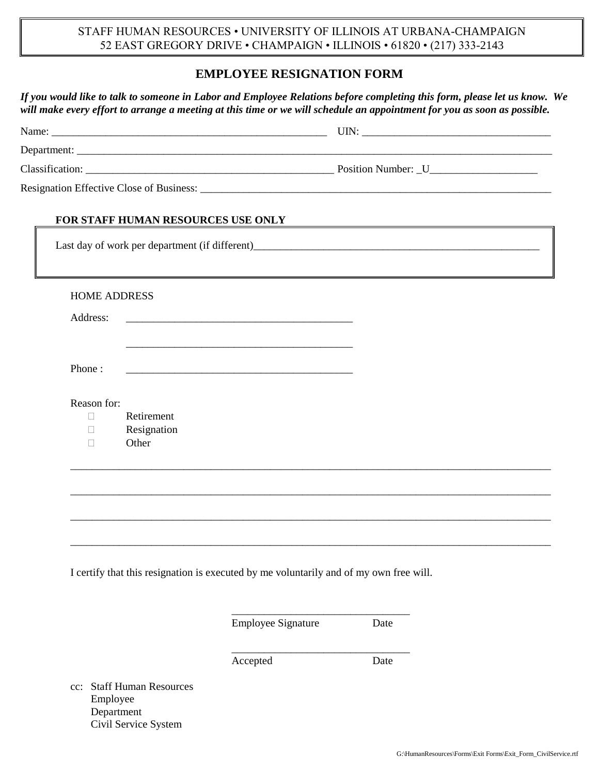STAFF HUMAN RESOURCES • UNIVERSITY OF ILLINOIS AT URBANA-CHAMPAIGN 52 EAST GREGORY DRIVE • CHAMPAIGN • ILLINOIS • 61820 • (217) 333-2143

## **EMPLOYEE RESIGNATION FORM**

*If you would like to talk to someone in Labor and Employee Relations before completing this form, please let us know. We will make every effort to arrange a meeting at this time or we will schedule an appointment for you as soon as possible.*

| FOR STAFF HUMAN RESOURCES USE ONLY                                                                                               |                                                                                                         |
|----------------------------------------------------------------------------------------------------------------------------------|---------------------------------------------------------------------------------------------------------|
|                                                                                                                                  | Last day of work per department (if different)<br><u>Last day of work per department (if different)</u> |
| <b>HOME ADDRESS</b>                                                                                                              |                                                                                                         |
| Address:                                                                                                                         |                                                                                                         |
| Phone:<br><u> 1989 - Johann Barn, mars ann an t-Amhain ann an t-Amhain an t-Amhain an t-Amhain an t-Amhain an t-Amhain an t-</u> |                                                                                                         |
| Reason for:                                                                                                                      |                                                                                                         |
| Retirement<br>П<br>Resignation<br>П                                                                                              |                                                                                                         |
| Other<br>П                                                                                                                       |                                                                                                         |
|                                                                                                                                  |                                                                                                         |
|                                                                                                                                  |                                                                                                         |
|                                                                                                                                  |                                                                                                         |
|                                                                                                                                  |                                                                                                         |
| I certify that this resignation is executed by me voluntarily and of my own free will.                                           |                                                                                                         |

Employee Signature Date

\_\_\_\_\_\_\_\_\_\_\_\_\_\_\_\_\_\_\_\_\_\_\_\_\_\_\_\_\_\_\_\_\_

Accepted Date

cc: Staff Human Resources Employee Department Civil Service System